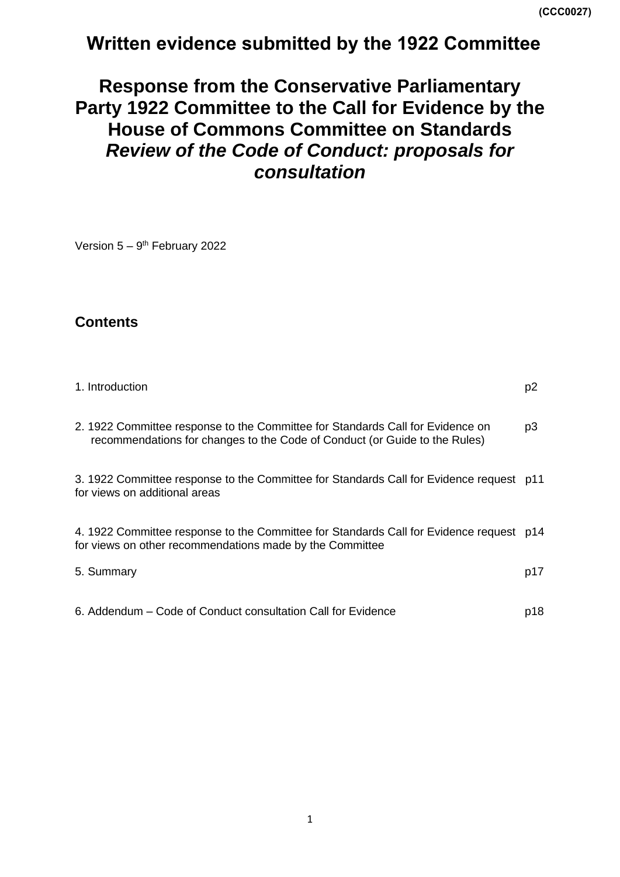# **Written evidence submitted by the 1922 Committee**

## **Response from the Conservative Parliamentary Party 1922 Committee to the Call for Evidence by the House of Commons Committee on Standards**  *Review of the Code of Conduct: proposals for consultation*

Version  $5 - 9$ <sup>th</sup> February 2022

### **Contents**

| 1. Introduction                                                                                                                                              | p <sub>2</sub> |
|--------------------------------------------------------------------------------------------------------------------------------------------------------------|----------------|
| 2. 1922 Committee response to the Committee for Standards Call for Evidence on<br>recommendations for changes to the Code of Conduct (or Guide to the Rules) | p3             |
| 3. 1922 Committee response to the Committee for Standards Call for Evidence request p11<br>for views on additional areas                                     |                |
| 4. 1922 Committee response to the Committee for Standards Call for Evidence request p14<br>for views on other recommendations made by the Committee          |                |
| 5. Summary                                                                                                                                                   | p17            |
| 6. Addendum – Code of Conduct consultation Call for Evidence                                                                                                 | p18            |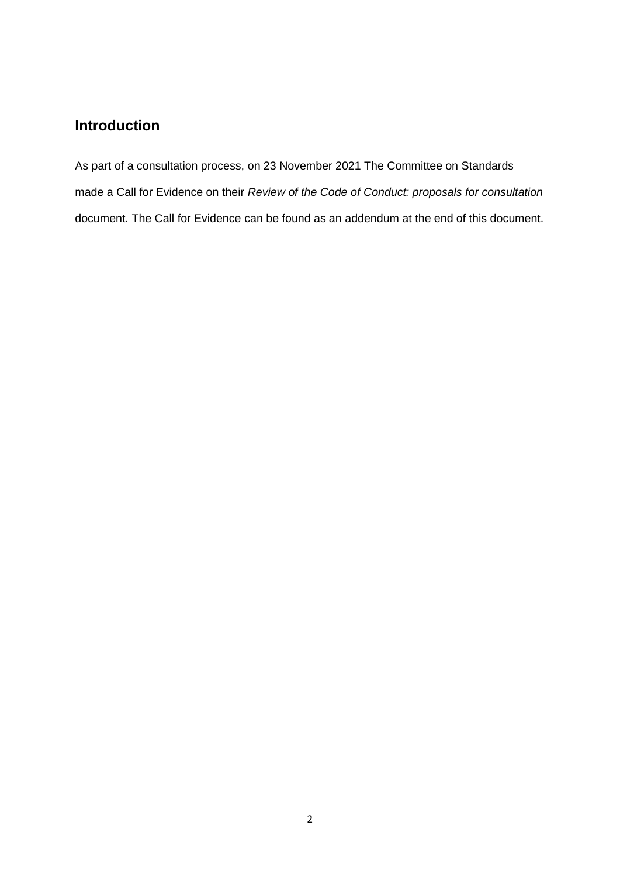### **Introduction**

As part of a consultation process, on 23 November 2021 The Committee on Standards made a Call for Evidence on their *Review of the Code of Conduct: proposals for consultation* document. The Call for Evidence can be found as an addendum at the end of this document.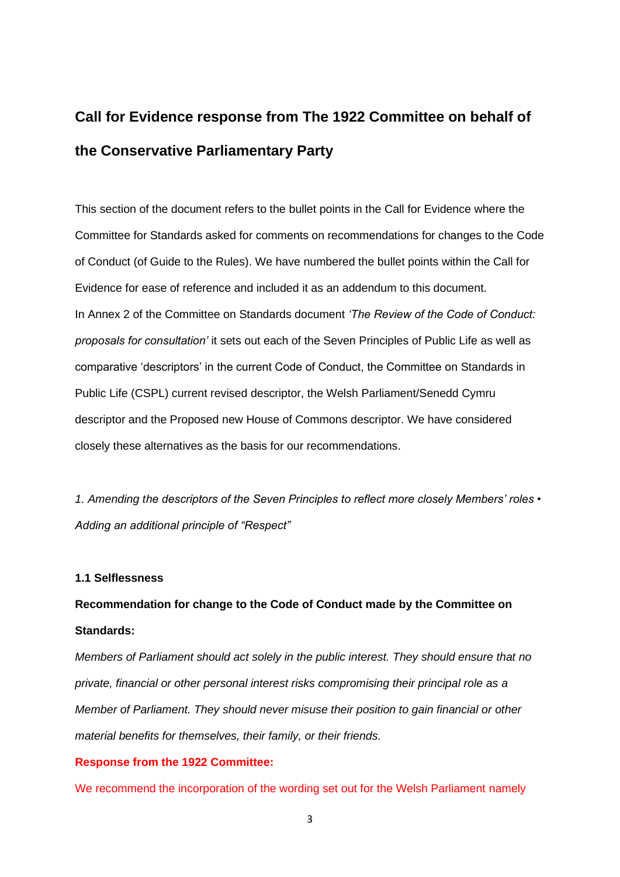# **Call for Evidence response from The 1922 Committee on behalf of the Conservative Parliamentary Party**

This section of the document refers to the bullet points in the Call for Evidence where the Committee for Standards asked for comments on recommendations for changes to the Code of Conduct (of Guide to the Rules). We have numbered the bullet points within the Call for Evidence for ease of reference and included it as an addendum to this document. In Annex 2 of the Committee on Standards document *'The Review of the Code of Conduct: proposals for consultation'* it sets out each of the Seven Principles of Public Life as well as comparative 'descriptors' in the current Code of Conduct, the Committee on Standards in Public Life (CSPL) current revised descriptor, the Welsh Parliament/Senedd Cymru descriptor and the Proposed new House of Commons descriptor. We have considered closely these alternatives as the basis for our recommendations.

*1. Amending the descriptors of the Seven Principles to reflect more closely Members' roles • Adding an additional principle of "Respect"*

#### **1.1 Selflessness**

### **Recommendation for change to the Code of Conduct made by the Committee on Standards:**

*Members of Parliament should act solely in the public interest. They should ensure that no private, financial or other personal interest risks compromising their principal role as a Member of Parliament. They should never misuse their position to gain financial or other material benefits for themselves, their family, or their friends.*

#### **Response from the 1922 Committee:**

We recommend the incorporation of the wording set out for the Welsh Parliament namely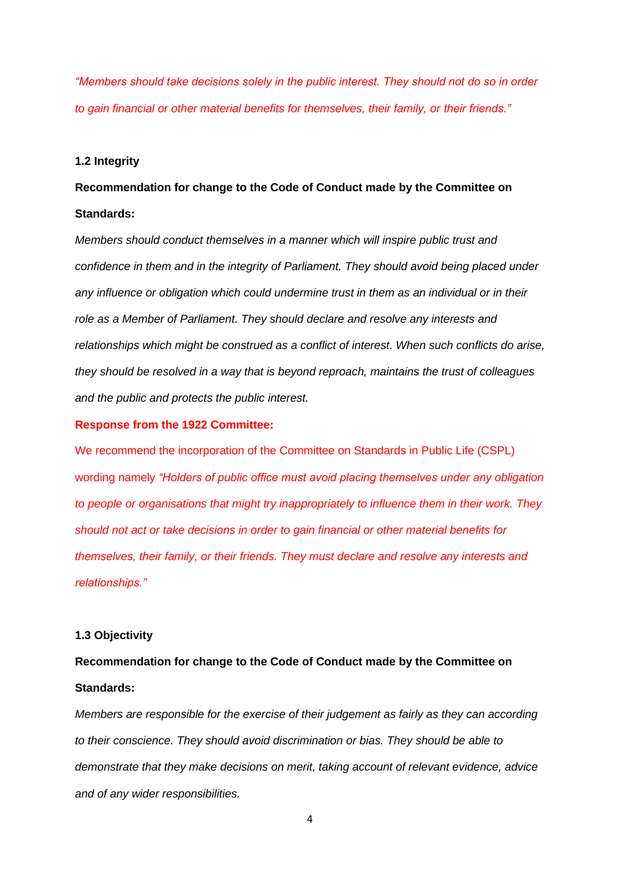*"Members should take decisions solely in the public interest. They should not do so in order to gain financial or other material benefits for themselves, their family, or their friends."*

#### **1.2 Integrity**

### **Recommendation for change to the Code of Conduct made by the Committee on Standards:**

*Members should conduct themselves in a manner which will inspire public trust and confidence in them and in the integrity of Parliament. They should avoid being placed under any influence or obligation which could undermine trust in them as an individual or in their role as a Member of Parliament. They should declare and resolve any interests and relationships which might be construed as a conflict of interest. When such conflicts do arise, they should be resolved in a way that is beyond reproach, maintains the trust of colleagues and the public and protects the public interest.*

#### **Response from the 1922 Committee:**

We recommend the incorporation of the Committee on Standards in Public Life (CSPL) wording namely *"Holders of public office must avoid placing themselves under any obligation to people or organisations that might try inappropriately to influence them in their work. They should not act or take decisions in order to gain financial or other material benefits for themselves, their family, or their friends. They must declare and resolve any interests and relationships."*

#### **1.3 Objectivity**

## **Recommendation for change to the Code of Conduct made by the Committee on Standards:**

*Members are responsible for the exercise of their judgement as fairly as they can according to their conscience. They should avoid discrimination or bias. They should be able to demonstrate that they make decisions on merit, taking account of relevant evidence, advice and of any wider responsibilities.*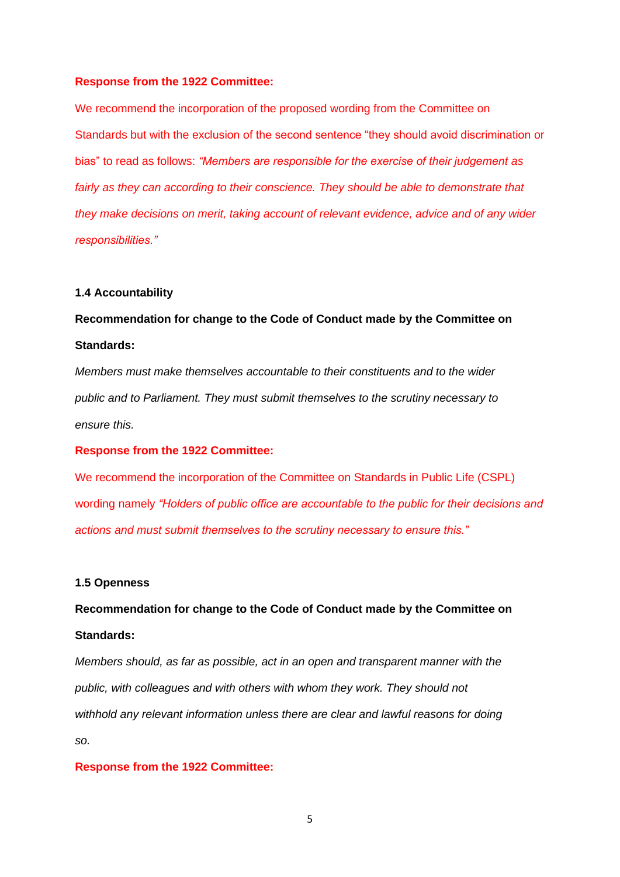#### **Response from the 1922 Committee:**

We recommend the incorporation of the proposed wording from the Committee on Standards but with the exclusion of the second sentence "they should avoid discrimination or bias" to read as follows: *"Members are responsible for the exercise of their judgement as fairly as they can according to their conscience. They should be able to demonstrate that they make decisions on merit, taking account of relevant evidence, advice and of any wider responsibilities."*

#### **1.4 Accountability**

### **Recommendation for change to the Code of Conduct made by the Committee on Standards:**

*Members must make themselves accountable to their constituents and to the wider public and to Parliament. They must submit themselves to the scrutiny necessary to ensure this.*

#### **Response from the 1922 Committee:**

We recommend the incorporation of the Committee on Standards in Public Life (CSPL) wording namely *"Holders of public office are accountable to the public for their decisions and actions and must submit themselves to the scrutiny necessary to ensure this."*

#### **1.5 Openness**

**Recommendation for change to the Code of Conduct made by the Committee on Standards:**

*Members should, as far as possible, act in an open and transparent manner with the public, with colleagues and with others with whom they work. They should not withhold any relevant information unless there are clear and lawful reasons for doing so.*

#### **Response from the 1922 Committee:**

5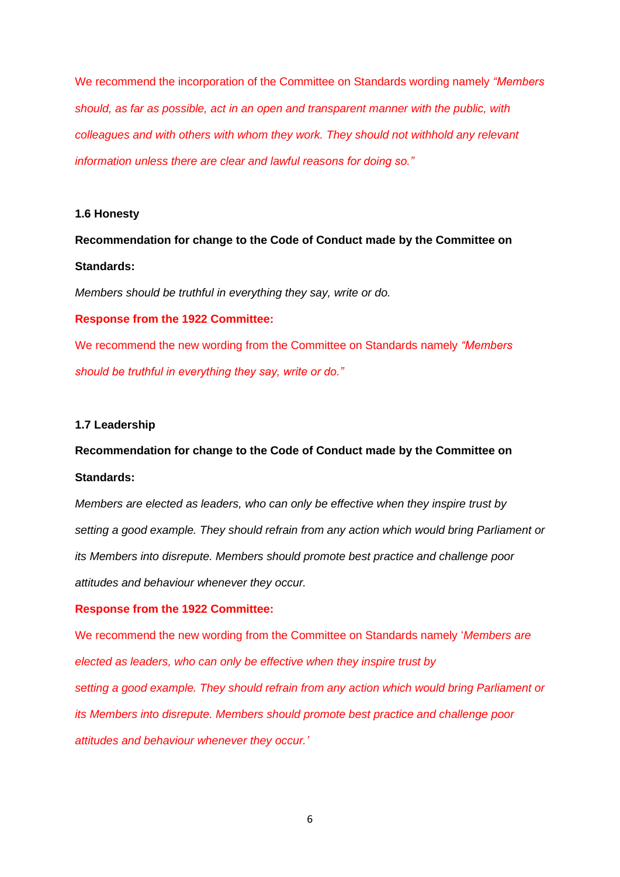We recommend the incorporation of the Committee on Standards wording namely *"Members should, as far as possible, act in an open and transparent manner with the public, with colleagues and with others with whom they work. They should not withhold any relevant information unless there are clear and lawful reasons for doing so."*

#### **1.6 Honesty**

**Recommendation for change to the Code of Conduct made by the Committee on Standards:** 

*Members should be truthful in everything they say, write or do.*

**Response from the 1922 Committee:**

We recommend the new wording from the Committee on Standards namely *"Members should be truthful in everything they say, write or do."*

#### **1.7 Leadership**

## **Recommendation for change to the Code of Conduct made by the Committee on Standards:**

*Members are elected as leaders, who can only be effective when they inspire trust by setting a good example. They should refrain from any action which would bring Parliament or its Members into disrepute. Members should promote best practice and challenge poor attitudes and behaviour whenever they occur.*

#### **Response from the 1922 Committee:**

We recommend the new wording from the Committee on Standards namely '*Members are elected as leaders, who can only be effective when they inspire trust by setting a good example. They should refrain from any action which would bring Parliament or its Members into disrepute. Members should promote best practice and challenge poor attitudes and behaviour whenever they occur.'*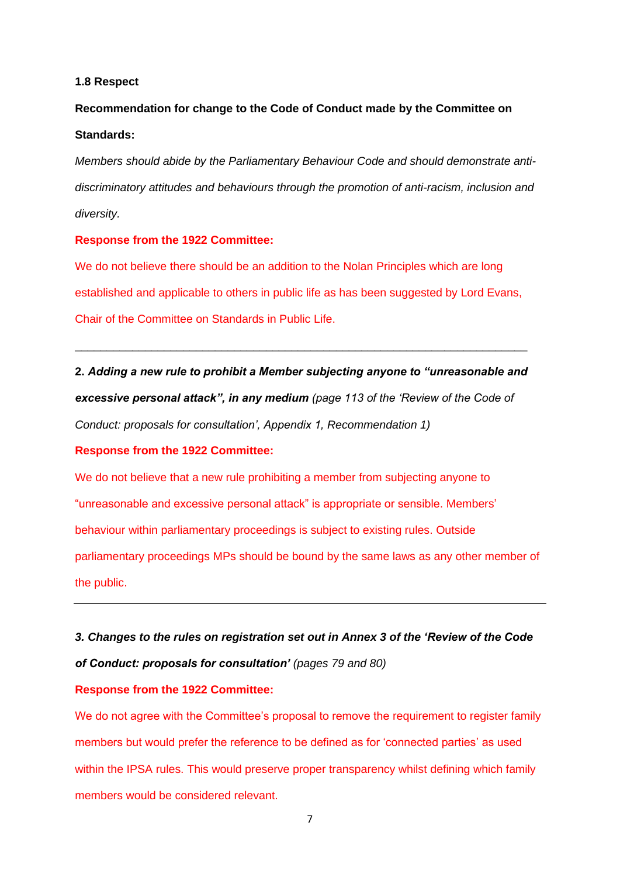#### **1.8 Respect**

### **Recommendation for change to the Code of Conduct made by the Committee on Standards:**

*Members should abide by the Parliamentary Behaviour Code and should demonstrate antidiscriminatory attitudes and behaviours through the promotion of anti-racism, inclusion and diversity.*

#### **Response from the 1922 Committee:**

We do not believe there should be an addition to the Nolan Principles which are long established and applicable to others in public life as has been suggested by Lord Evans, Chair of the Committee on Standards in Public Life.

**2.** *Adding a new rule to prohibit a Member subjecting anyone to "unreasonable and excessive personal attack", in any medium (page 113 of the 'Review of the Code of Conduct: proposals for consultation', Appendix 1, Recommendation 1)*

\_\_\_\_\_\_\_\_\_\_\_\_\_\_\_\_\_\_\_\_\_\_\_\_\_\_\_\_\_\_\_\_\_\_\_\_\_\_\_\_\_\_\_\_\_\_\_\_\_\_\_\_\_\_\_\_\_\_\_\_\_\_\_\_\_\_\_\_\_\_\_

#### **Response from the 1922 Committee:**

We do not believe that a new rule prohibiting a member from subjecting anyone to "unreasonable and excessive personal attack" is appropriate or sensible. Members' behaviour within parliamentary proceedings is subject to existing rules. Outside parliamentary proceedings MPs should be bound by the same laws as any other member of the public.

*3. Changes to the rules on registration set out in Annex 3 of the 'Review of the Code of Conduct: proposals for consultation' (pages 79 and 80)*

#### **Response from the 1922 Committee:**

We do not agree with the Committee's proposal to remove the requirement to register family members but would prefer the reference to be defined as for 'connected parties' as used within the IPSA rules. This would preserve proper transparency whilst defining which family members would be considered relevant.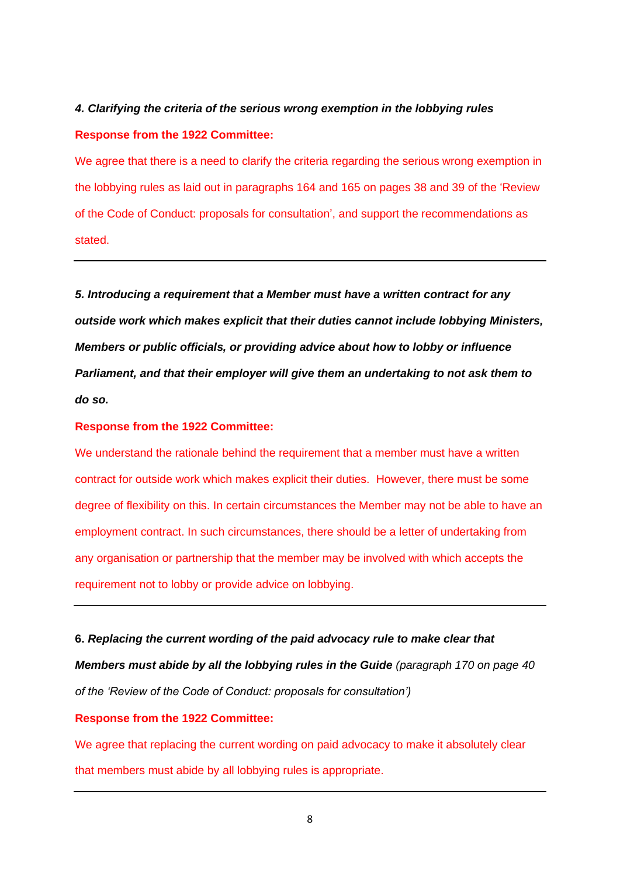## *4. Clarifying the criteria of the serious wrong exemption in the lobbying rules* **Response from the 1922 Committee:**

We agree that there is a need to clarify the criteria regarding the serious wrong exemption in the lobbying rules as laid out in paragraphs 164 and 165 on pages 38 and 39 of the 'Review of the Code of Conduct: proposals for consultation', and support the recommendations as stated.

*5. Introducing a requirement that a Member must have a written contract for any outside work which makes explicit that their duties cannot include lobbying Ministers, Members or public officials, or providing advice about how to lobby or influence Parliament, and that their employer will give them an undertaking to not ask them to do so.*

#### **Response from the 1922 Committee:**

We understand the rationale behind the requirement that a member must have a written contract for outside work which makes explicit their duties. However, there must be some degree of flexibility on this. In certain circumstances the Member may not be able to have an employment contract. In such circumstances, there should be a letter of undertaking from any organisation or partnership that the member may be involved with which accepts the requirement not to lobby or provide advice on lobbying.

**6.** *Replacing the current wording of the paid advocacy rule to make clear that* 

*Members must abide by all the lobbying rules in the Guide (paragraph 170 on page 40 of the 'Review of the Code of Conduct: proposals for consultation')*

#### **Response from the 1922 Committee:**

We agree that replacing the current wording on paid advocacy to make it absolutely clear that members must abide by all lobbying rules is appropriate.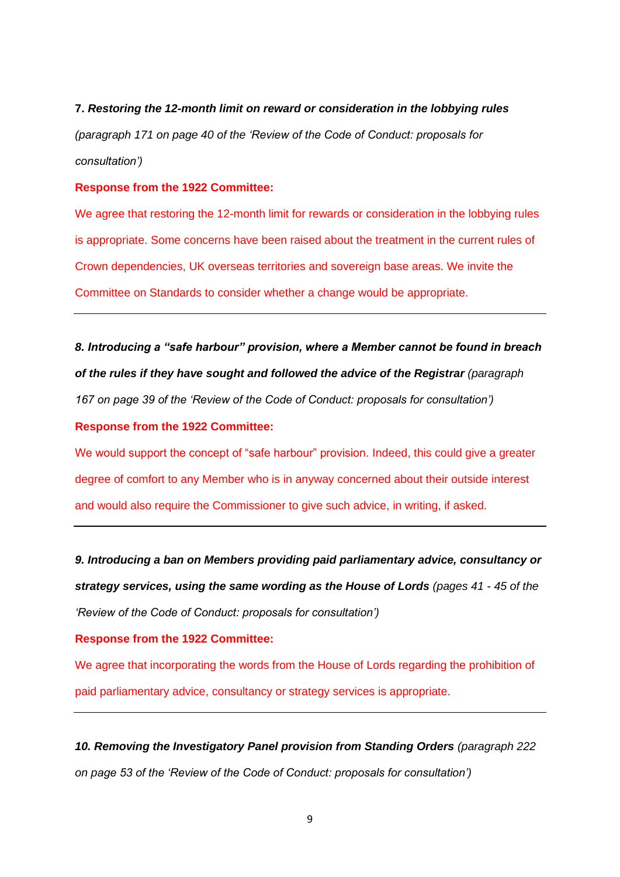**7.** *Restoring the 12-month limit on reward or consideration in the lobbying rules (paragraph 171 on page 40 of the 'Review of the Code of Conduct: proposals for consultation')*

#### **Response from the 1922 Committee:**

We agree that restoring the 12-month limit for rewards or consideration in the lobbying rules is appropriate. Some concerns have been raised about the treatment in the current rules of Crown dependencies, UK overseas territories and sovereign base areas. We invite the Committee on Standards to consider whether a change would be appropriate.

*8. Introducing a "safe harbour" provision, where a Member cannot be found in breach of the rules if they have sought and followed the advice of the Registrar (paragraph 167 on page 39 of the 'Review of the Code of Conduct: proposals for consultation')*

#### **Response from the 1922 Committee:**

We would support the concept of "safe harbour" provision. Indeed, this could give a greater degree of comfort to any Member who is in anyway concerned about their outside interest and would also require the Commissioner to give such advice, in writing, if asked.

*9. Introducing a ban on Members providing paid parliamentary advice, consultancy or strategy services, using the same wording as the House of Lords (pages 41 - 45 of the 'Review of the Code of Conduct: proposals for consultation')*

#### **Response from the 1922 Committee:**

We agree that incorporating the words from the House of Lords regarding the prohibition of paid parliamentary advice, consultancy or strategy services is appropriate.

*10. Removing the Investigatory Panel provision from Standing Orders (paragraph 222 on page 53 of the 'Review of the Code of Conduct: proposals for consultation')*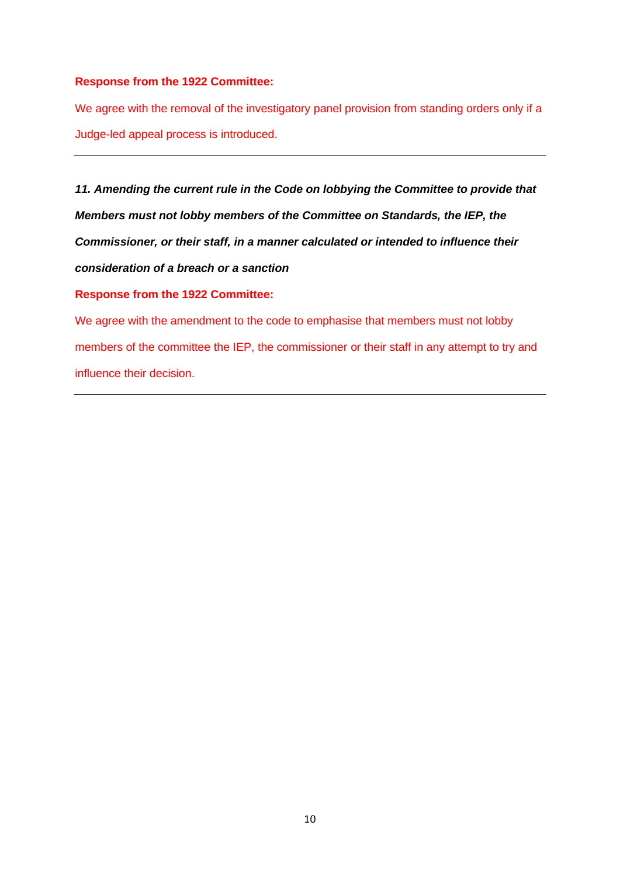#### **Response from the 1922 Committee:**

We agree with the removal of the investigatory panel provision from standing orders only if a Judge-led appeal process is introduced.

*11. Amending the current rule in the Code on lobbying the Committee to provide that Members must not lobby members of the Committee on Standards, the IEP, the Commissioner, or their staff, in a manner calculated or intended to influence their consideration of a breach or a sanction* **Response from the 1922 Committee:**

We agree with the amendment to the code to emphasise that members must not lobby members of the committee the IEP, the commissioner or their staff in any attempt to try and influence their decision.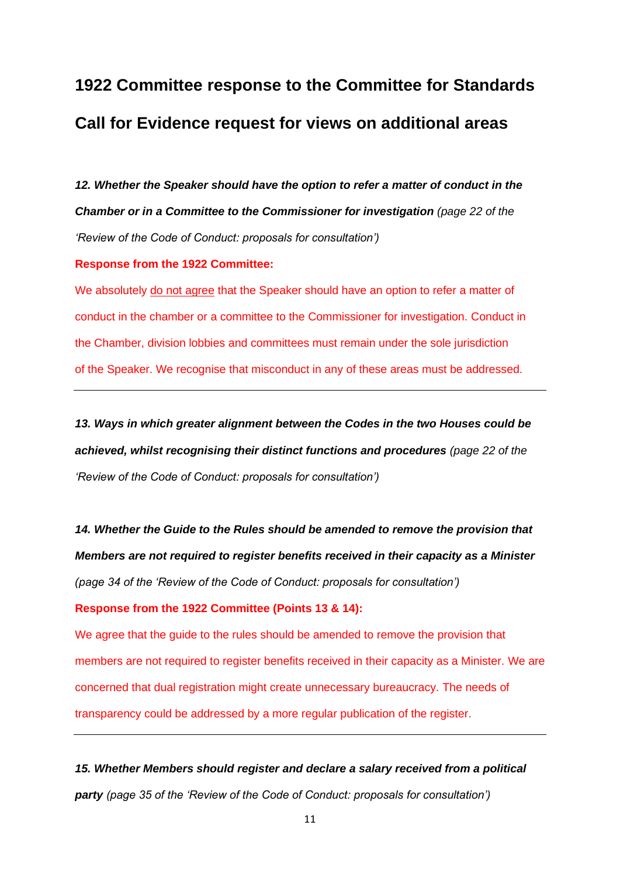# **1922 Committee response to the Committee for Standards Call for Evidence request for views on additional areas**

*12. Whether the Speaker should have the option to refer a matter of conduct in the Chamber or in a Committee to the Commissioner for investigation (page 22 of the 'Review of the Code of Conduct: proposals for consultation')*

#### **Response from the 1922 Committee:**

We absolutely do not agree that the Speaker should have an option to refer a matter of conduct in the chamber or a committee to the Commissioner for investigation. Conduct in the Chamber, division lobbies and committees must remain under the sole jurisdiction of the Speaker. We recognise that misconduct in any of these areas must be addressed.

*13. Ways in which greater alignment between the Codes in the two Houses could be achieved, whilst recognising their distinct functions and procedures (page 22 of the 'Review of the Code of Conduct: proposals for consultation')*

14. Whether the Guide to the Rules should be amended to remove the provision that *Members are not required to register benefits received in their capacity as a Minister (page 34 of the 'Review of the Code of Conduct: proposals for consultation')*

#### **Response from the 1922 Committee (Points 13 & 14):**

We agree that the guide to the rules should be amended to remove the provision that members are not required to register benefits received in their capacity as a Minister. We are concerned that dual registration might create unnecessary bureaucracy. The needs of transparency could be addressed by a more regular publication of the register.

*15. Whether Members should register and declare a salary received from a political party (page 35 of the 'Review of the Code of Conduct: proposals for consultation')*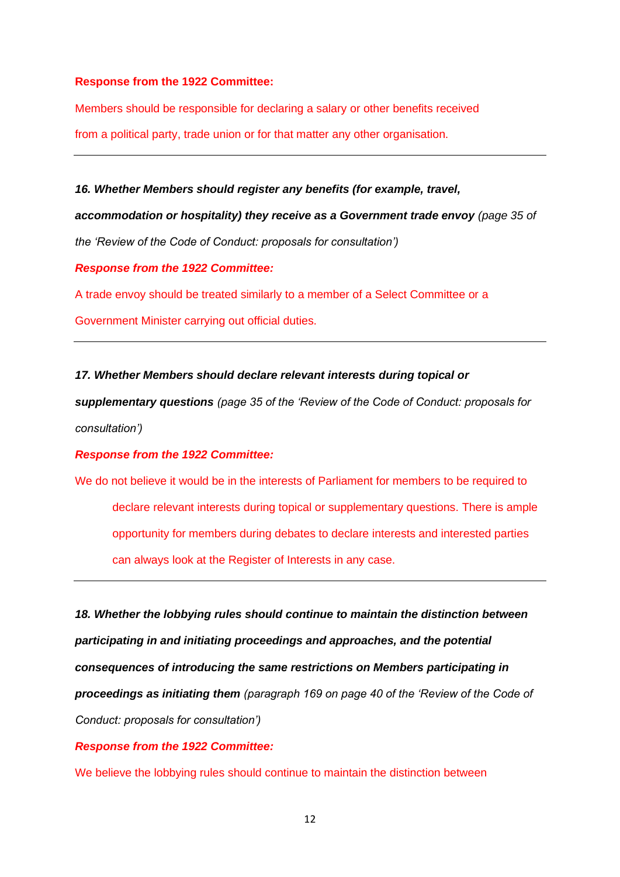#### **Response from the 1922 Committee:**

Members should be responsible for declaring a salary or other benefits received

from a political party, trade union or for that matter any other organisation.

*16. Whether Members should register any benefits (for example, travel, accommodation or hospitality) they receive as a Government trade envoy (page 35 of the 'Review of the Code of Conduct: proposals for consultation') Response from the 1922 Committee:*

A trade envoy should be treated similarly to a member of a Select Committee or a

Government Minister carrying out official duties.

#### *17. Whether Members should declare relevant interests during topical or*

*supplementary questions (page 35 of the 'Review of the Code of Conduct: proposals for consultation')*

#### *Response from the 1922 Committee:*

We do not believe it would be in the interests of Parliament for members to be required to declare relevant interests during topical or supplementary questions. There is ample opportunity for members during debates to declare interests and interested parties can always look at the Register of Interests in any case.

*18. Whether the lobbying rules should continue to maintain the distinction between participating in and initiating proceedings and approaches, and the potential consequences of introducing the same restrictions on Members participating in proceedings as initiating them (paragraph 169 on page 40 of the 'Review of the Code of Conduct: proposals for consultation')*

#### *Response from the 1922 Committee:*

We believe the lobbying rules should continue to maintain the distinction between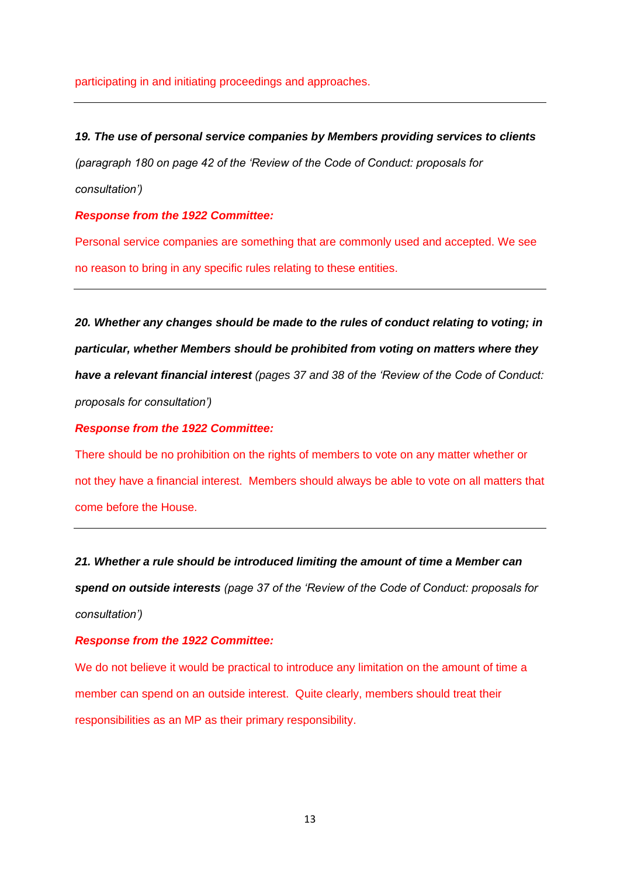#### participating in and initiating proceedings and approaches.

*19. The use of personal service companies by Members providing services to clients (paragraph 180 on page 42 of the 'Review of the Code of Conduct: proposals for consultation')*

*Response from the 1922 Committee:*

Personal service companies are something that are commonly used and accepted. We see no reason to bring in any specific rules relating to these entities.

*20. Whether any changes should be made to the rules of conduct relating to voting; in particular, whether Members should be prohibited from voting on matters where they have a relevant financial interest (pages 37 and 38 of the 'Review of the Code of Conduct: proposals for consultation')*

#### *Response from the 1922 Committee:*

There should be no prohibition on the rights of members to vote on any matter whether or not they have a financial interest. Members should always be able to vote on all matters that come before the House.

*21. Whether a rule should be introduced limiting the amount of time a Member can* 

*spend on outside interests (page 37 of the 'Review of the Code of Conduct: proposals for consultation')*

#### *Response from the 1922 Committee:*

We do not believe it would be practical to introduce any limitation on the amount of time a member can spend on an outside interest. Quite clearly, members should treat their responsibilities as an MP as their primary responsibility.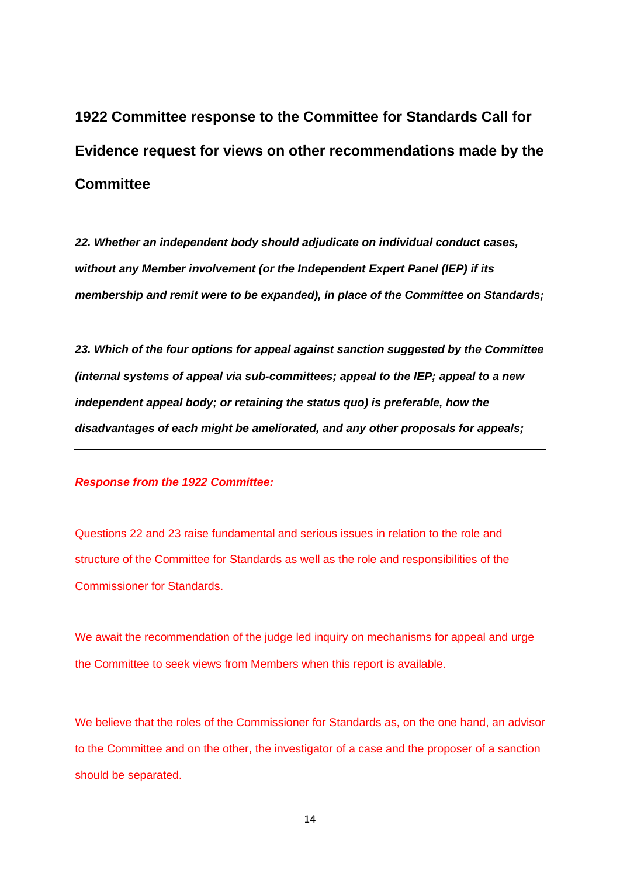**1922 Committee response to the Committee for Standards Call for Evidence request for views on other recommendations made by the Committee**

*22. Whether an independent body should adjudicate on individual conduct cases, without any Member involvement (or the Independent Expert Panel (IEP) if its membership and remit were to be expanded), in place of the Committee on Standards;*

*23. Which of the four options for appeal against sanction suggested by the Committee (internal systems of appeal via sub-committees; appeal to the IEP; appeal to a new independent appeal body; or retaining the status quo) is preferable, how the disadvantages of each might be ameliorated, and any other proposals for appeals;*

*Response from the 1922 Committee:*

Questions 22 and 23 raise fundamental and serious issues in relation to the role and structure of the Committee for Standards as well as the role and responsibilities of the Commissioner for Standards.

We await the recommendation of the judge led inquiry on mechanisms for appeal and urge the Committee to seek views from Members when this report is available.

We believe that the roles of the Commissioner for Standards as, on the one hand, an advisor to the Committee and on the other, the investigator of a case and the proposer of a sanction should be separated.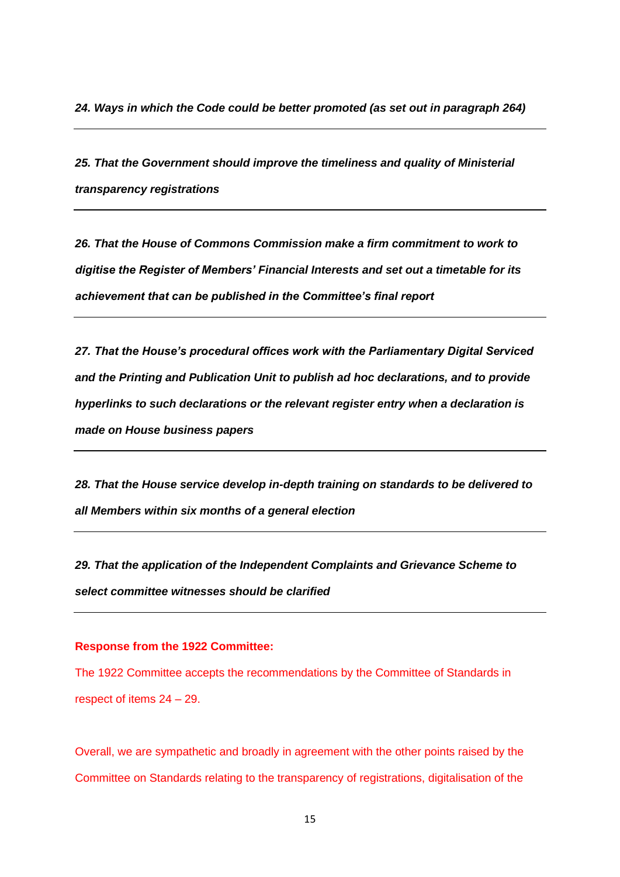*24. Ways in which the Code could be better promoted (as set out in paragraph 264)*

*25. That the Government should improve the timeliness and quality of Ministerial transparency registrations*

*26. That the House of Commons Commission make a firm commitment to work to digitise the Register of Members' Financial Interests and set out a timetable for its achievement that can be published in the Committee's final report*

*27. That the House's procedural offices work with the Parliamentary Digital Serviced and the Printing and Publication Unit to publish ad hoc declarations, and to provide hyperlinks to such declarations or the relevant register entry when a declaration is made on House business papers*

*28. That the House service develop in-depth training on standards to be delivered to all Members within six months of a general election*

*29. That the application of the Independent Complaints and Grievance Scheme to select committee witnesses should be clarified*

#### **Response from the 1922 Committee:**

The 1922 Committee accepts the recommendations by the Committee of Standards in respect of items 24 – 29.

Overall, we are sympathetic and broadly in agreement with the other points raised by the Committee on Standards relating to the transparency of registrations, digitalisation of the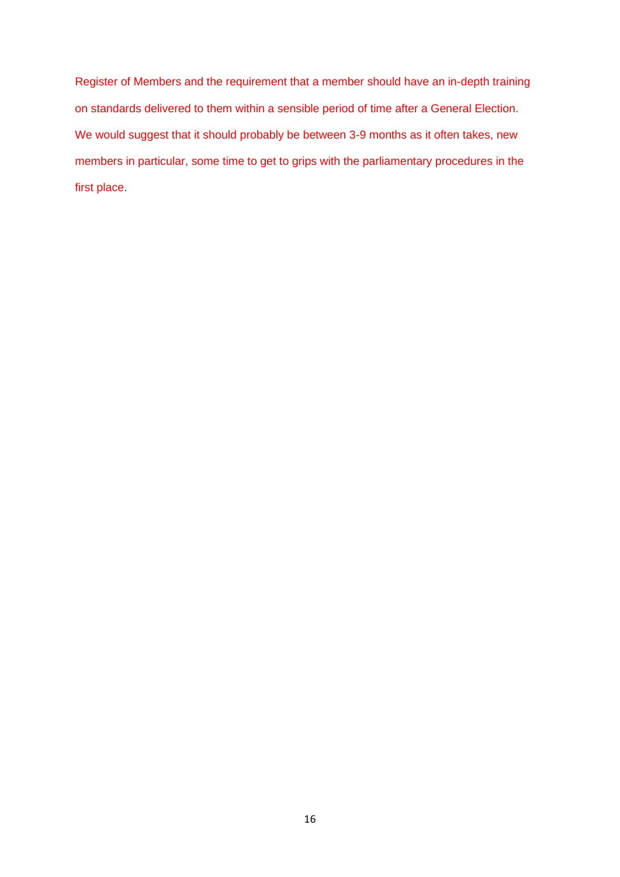Register of Members and the requirement that a member should have an in-depth training on standards delivered to them within a sensible period of time after a General Election. We would suggest that it should probably be between 3-9 months as it often takes, new members in particular, some time to get to grips with the parliamentary procedures in the first place.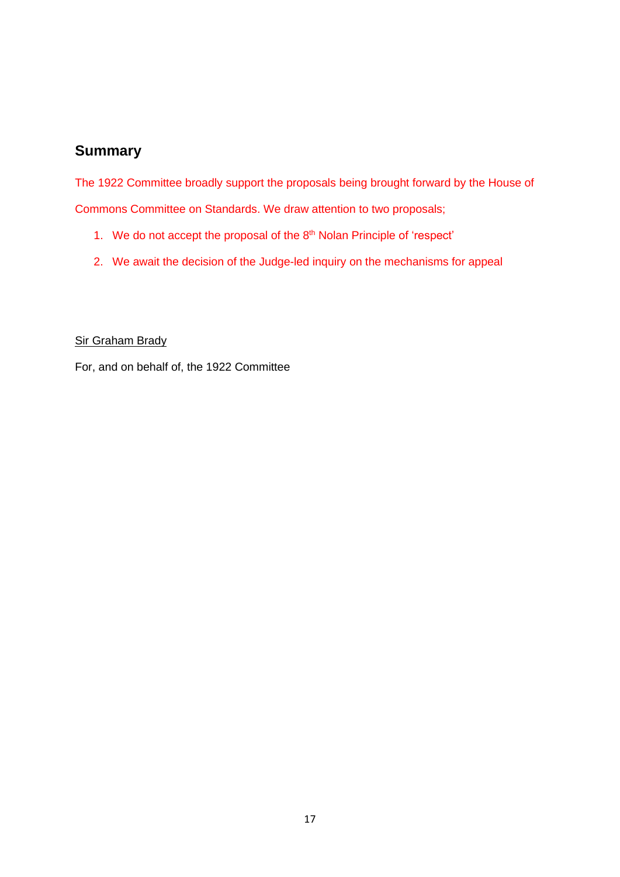### **Summary**

The 1922 Committee broadly support the proposals being brought forward by the House of Commons Committee on Standards. We draw attention to two proposals;

- 1. We do not accept the proposal of the 8<sup>th</sup> Nolan Principle of 'respect'
- 2. We await the decision of the Judge-led inquiry on the mechanisms for appeal

#### Sir Graham Brady

For, and on behalf of, the 1922 Committee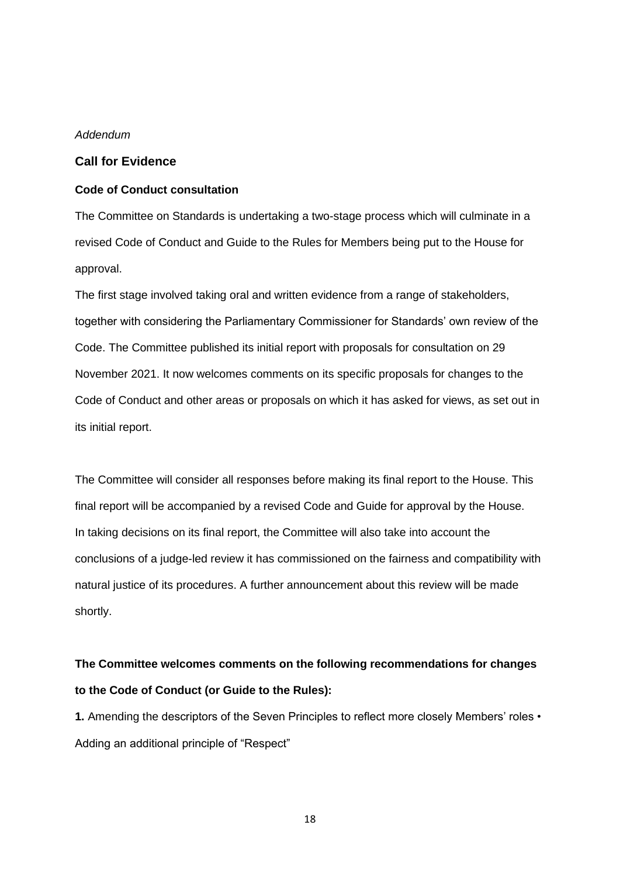#### *Addendum*

#### **Call for Evidence**

#### **Code of Conduct consultation**

The Committee on Standards is undertaking a two-stage process which will culminate in a revised Code of Conduct and Guide to the Rules for Members being put to the House for approval.

The first stage involved taking oral and written evidence from a range of stakeholders, together with considering the Parliamentary Commissioner for Standards' own review of the Code. The Committee published its initial report with proposals for consultation on 29 November 2021. It now welcomes comments on its specific proposals for changes to the Code of Conduct and other areas or proposals on which it has asked for views, as set out in its initial report.

The Committee will consider all responses before making its final report to the House. This final report will be accompanied by a revised Code and Guide for approval by the House. In taking decisions on its final report, the Committee will also take into account the conclusions of a judge-led review it has commissioned on the fairness and compatibility with natural justice of its procedures. A further announcement about this review will be made shortly.

### **The Committee welcomes comments on the following recommendations for changes to the Code of Conduct (or Guide to the Rules):**

1. Amending the descriptors of the Seven Principles to reflect more closely Members' roles • Adding an additional principle of "Respect"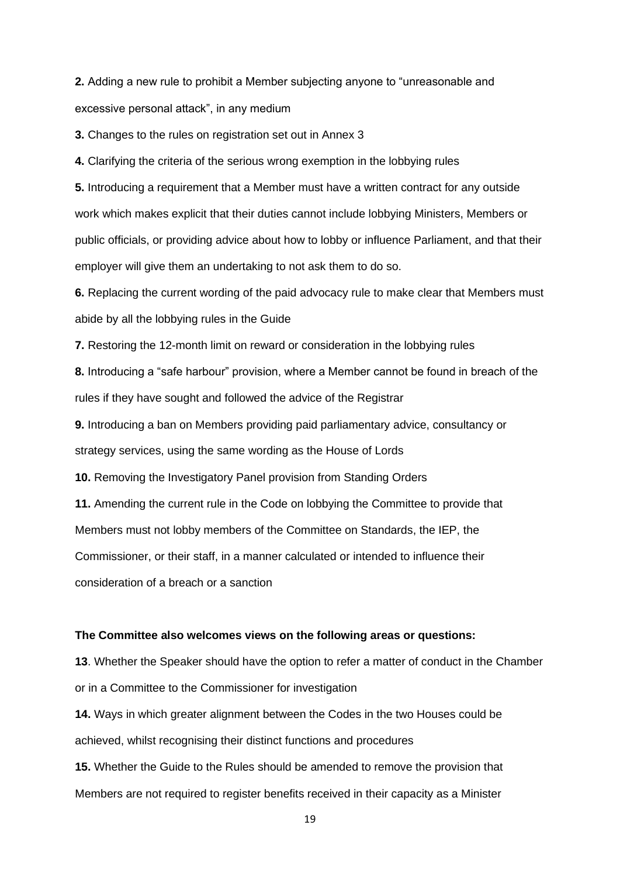**2.** Adding a new rule to prohibit a Member subjecting anyone to "unreasonable and excessive personal attack", in any medium

**3.** Changes to the rules on registration set out in Annex 3

**4.** Clarifying the criteria of the serious wrong exemption in the lobbying rules

**5.** Introducing a requirement that a Member must have a written contract for any outside work which makes explicit that their duties cannot include lobbying Ministers, Members or public officials, or providing advice about how to lobby or influence Parliament, and that their employer will give them an undertaking to not ask them to do so.

**6.** Replacing the current wording of the paid advocacy rule to make clear that Members must abide by all the lobbying rules in the Guide

**7.** Restoring the 12-month limit on reward or consideration in the lobbying rules

**8.** Introducing a "safe harbour" provision, where a Member cannot be found in breach of the rules if they have sought and followed the advice of the Registrar

**9.** Introducing a ban on Members providing paid parliamentary advice, consultancy or strategy services, using the same wording as the House of Lords

**10.** Removing the Investigatory Panel provision from Standing Orders

**11.** Amending the current rule in the Code on lobbying the Committee to provide that Members must not lobby members of the Committee on Standards, the IEP, the Commissioner, or their staff, in a manner calculated or intended to influence their consideration of a breach or a sanction

#### **The Committee also welcomes views on the following areas or questions:**

**13**. Whether the Speaker should have the option to refer a matter of conduct in the Chamber or in a Committee to the Commissioner for investigation

**14.** Ways in which greater alignment between the Codes in the two Houses could be achieved, whilst recognising their distinct functions and procedures

**15.** Whether the Guide to the Rules should be amended to remove the provision that Members are not required to register benefits received in their capacity as a Minister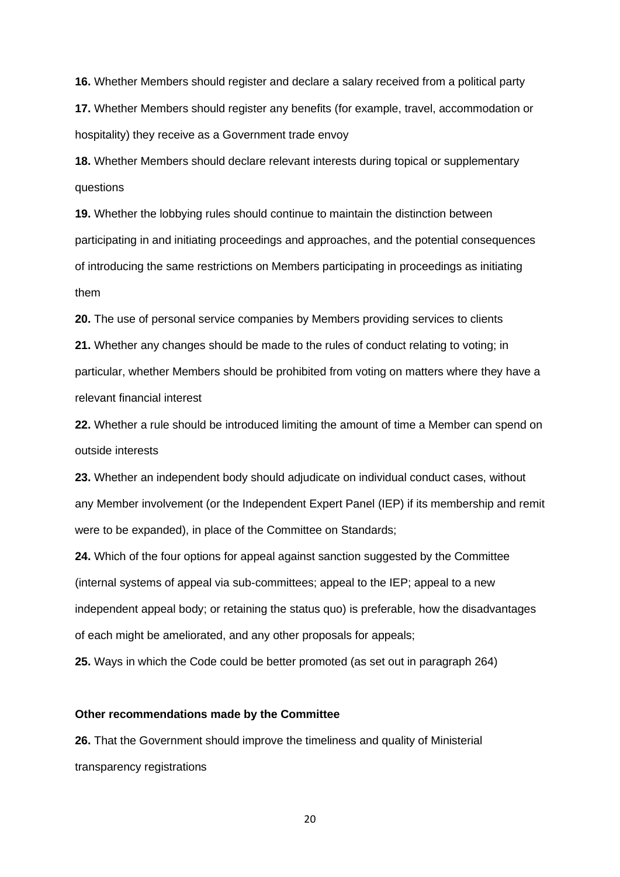**16.** Whether Members should register and declare a salary received from a political party

**17.** Whether Members should register any benefits (for example, travel, accommodation or hospitality) they receive as a Government trade envoy

**18.** Whether Members should declare relevant interests during topical or supplementary questions

**19.** Whether the lobbying rules should continue to maintain the distinction between participating in and initiating proceedings and approaches, and the potential consequences of introducing the same restrictions on Members participating in proceedings as initiating them

**20.** The use of personal service companies by Members providing services to clients

**21.** Whether any changes should be made to the rules of conduct relating to voting; in particular, whether Members should be prohibited from voting on matters where they have a relevant financial interest

**22.** Whether a rule should be introduced limiting the amount of time a Member can spend on outside interests

**23.** Whether an independent body should adjudicate on individual conduct cases, without any Member involvement (or the Independent Expert Panel (IEP) if its membership and remit were to be expanded), in place of the Committee on Standards;

**24.** Which of the four options for appeal against sanction suggested by the Committee (internal systems of appeal via sub-committees; appeal to the IEP; appeal to a new independent appeal body; or retaining the status quo) is preferable, how the disadvantages of each might be ameliorated, and any other proposals for appeals;

**25.** Ways in which the Code could be better promoted (as set out in paragraph 264)

#### **Other recommendations made by the Committee**

**26.** That the Government should improve the timeliness and quality of Ministerial transparency registrations

20